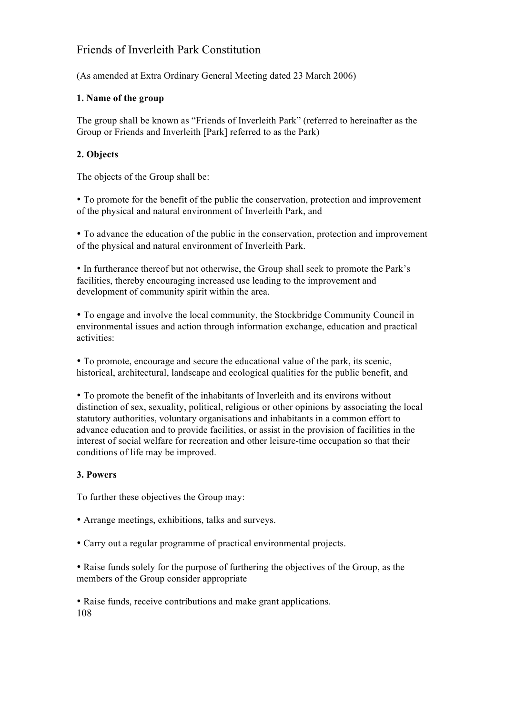# Friends of Inverleith Park Constitution

(As amended at Extra Ordinary General Meeting dated 23 March 2006)

# **1. Name of the group**

The group shall be known as "Friends of Inverleith Park" (referred to hereinafter as the Group or Friends and Inverleith [Park] referred to as the Park)

# **2. Objects**

The objects of the Group shall be:

• To promote for the benefit of the public the conservation, protection and improvement of the physical and natural environment of Inverleith Park, and

• To advance the education of the public in the conservation, protection and improvement of the physical and natural environment of Inverleith Park.

• In furtherance thereof but not otherwise, the Group shall seek to promote the Park's facilities, thereby encouraging increased use leading to the improvement and development of community spirit within the area.

• To engage and involve the local community, the Stockbridge Community Council in environmental issues and action through information exchange, education and practical activities:

• To promote, encourage and secure the educational value of the park, its scenic, historical, architectural, landscape and ecological qualities for the public benefit, and

• To promote the benefit of the inhabitants of Inverleith and its environs without distinction of sex, sexuality, political, religious or other opinions by associating the local statutory authorities, voluntary organisations and inhabitants in a common effort to advance education and to provide facilities, or assist in the provision of facilities in the interest of social welfare for recreation and other leisure-time occupation so that their conditions of life may be improved.

# **3. Powers**

To further these objectives the Group may:

• Arrange meetings, exhibitions, talks and surveys.

• Carry out a regular programme of practical environmental projects.

• Raise funds solely for the purpose of furthering the objectives of the Group, as the members of the Group consider appropriate

• Raise funds, receive contributions and make grant applications. 108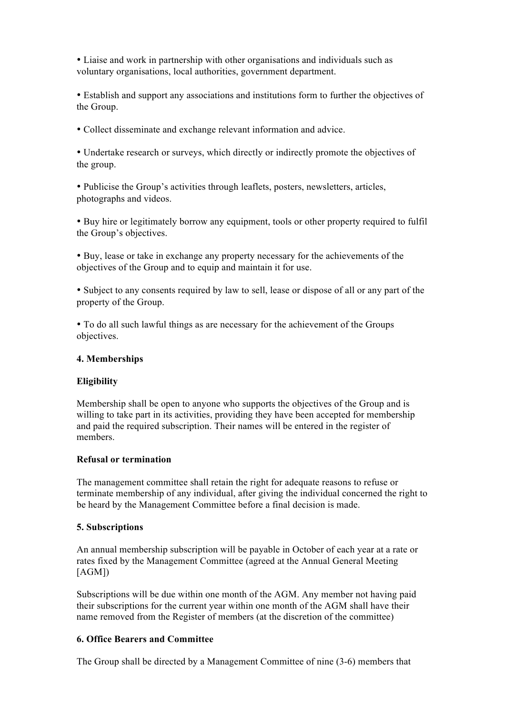• Liaise and work in partnership with other organisations and individuals such as voluntary organisations, local authorities, government department.

• Establish and support any associations and institutions form to further the objectives of the Group.

• Collect disseminate and exchange relevant information and advice.

• Undertake research or surveys, which directly or indirectly promote the objectives of the group.

• Publicise the Group's activities through leaflets, posters, newsletters, articles, photographs and videos.

• Buy hire or legitimately borrow any equipment, tools or other property required to fulfil the Group's objectives.

• Buy, lease or take in exchange any property necessary for the achievements of the objectives of the Group and to equip and maintain it for use.

• Subject to any consents required by law to sell, lease or dispose of all or any part of the property of the Group.

• To do all such lawful things as are necessary for the achievement of the Groups objectives.

#### **4. Memberships**

#### **Eligibility**

Membership shall be open to anyone who supports the objectives of the Group and is willing to take part in its activities, providing they have been accepted for membership and paid the required subscription. Their names will be entered in the register of members.

#### **Refusal or termination**

The management committee shall retain the right for adequate reasons to refuse or terminate membership of any individual, after giving the individual concerned the right to be heard by the Management Committee before a final decision is made.

#### **5. Subscriptions**

An annual membership subscription will be payable in October of each year at a rate or rates fixed by the Management Committee (agreed at the Annual General Meeting  $[AGM]$ 

Subscriptions will be due within one month of the AGM. Any member not having paid their subscriptions for the current year within one month of the AGM shall have their name removed from the Register of members (at the discretion of the committee)

#### **6. Office Bearers and Committee**

The Group shall be directed by a Management Committee of nine (3-6) members that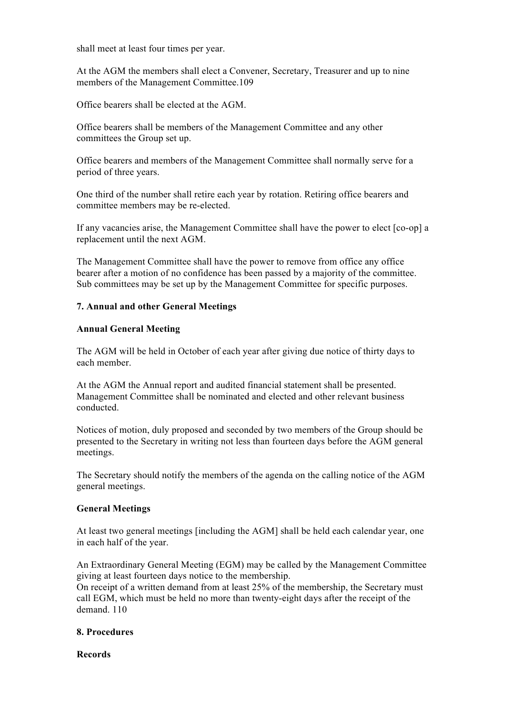shall meet at least four times per year.

At the AGM the members shall elect a Convener, Secretary, Treasurer and up to nine members of the Management Committee.109

Office bearers shall be elected at the AGM.

Office bearers shall be members of the Management Committee and any other committees the Group set up.

Office bearers and members of the Management Committee shall normally serve for a period of three years.

One third of the number shall retire each year by rotation. Retiring office bearers and committee members may be re-elected.

If any vacancies arise, the Management Committee shall have the power to elect [co-op] a replacement until the next AGM.

The Management Committee shall have the power to remove from office any office bearer after a motion of no confidence has been passed by a majority of the committee. Sub committees may be set up by the Management Committee for specific purposes.

## **7. Annual and other General Meetings**

#### **Annual General Meeting**

The AGM will be held in October of each year after giving due notice of thirty days to each member.

At the AGM the Annual report and audited financial statement shall be presented. Management Committee shall be nominated and elected and other relevant business conducted.

Notices of motion, duly proposed and seconded by two members of the Group should be presented to the Secretary in writing not less than fourteen days before the AGM general meetings.

The Secretary should notify the members of the agenda on the calling notice of the AGM general meetings.

#### **General Meetings**

At least two general meetings [including the AGM] shall be held each calendar year, one in each half of the year.

An Extraordinary General Meeting (EGM) may be called by the Management Committee giving at least fourteen days notice to the membership.

On receipt of a written demand from at least 25% of the membership, the Secretary must call EGM, which must be held no more than twenty-eight days after the receipt of the demand. 110

#### **8. Procedures**

**Records**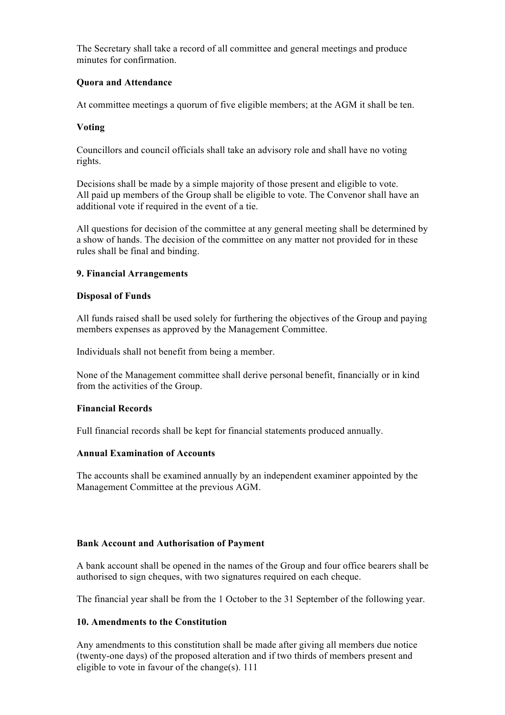The Secretary shall take a record of all committee and general meetings and produce minutes for confirmation.

## **Quora and Attendance**

At committee meetings a quorum of five eligible members; at the AGM it shall be ten.

## **Voting**

Councillors and council officials shall take an advisory role and shall have no voting rights.

Decisions shall be made by a simple majority of those present and eligible to vote. All paid up members of the Group shall be eligible to vote. The Convenor shall have an additional vote if required in the event of a tie.

All questions for decision of the committee at any general meeting shall be determined by a show of hands. The decision of the committee on any matter not provided for in these rules shall be final and binding.

## **9. Financial Arrangements**

#### **Disposal of Funds**

All funds raised shall be used solely for furthering the objectives of the Group and paying members expenses as approved by the Management Committee.

Individuals shall not benefit from being a member.

None of the Management committee shall derive personal benefit, financially or in kind from the activities of the Group.

#### **Financial Records**

Full financial records shall be kept for financial statements produced annually.

#### **Annual Examination of Accounts**

The accounts shall be examined annually by an independent examiner appointed by the Management Committee at the previous AGM.

#### **Bank Account and Authorisation of Payment**

A bank account shall be opened in the names of the Group and four office bearers shall be authorised to sign cheques, with two signatures required on each cheque.

The financial year shall be from the 1 October to the 31 September of the following year.

# **10. Amendments to the Constitution**

Any amendments to this constitution shall be made after giving all members due notice (twenty-one days) of the proposed alteration and if two thirds of members present and eligible to vote in favour of the change(s). 111